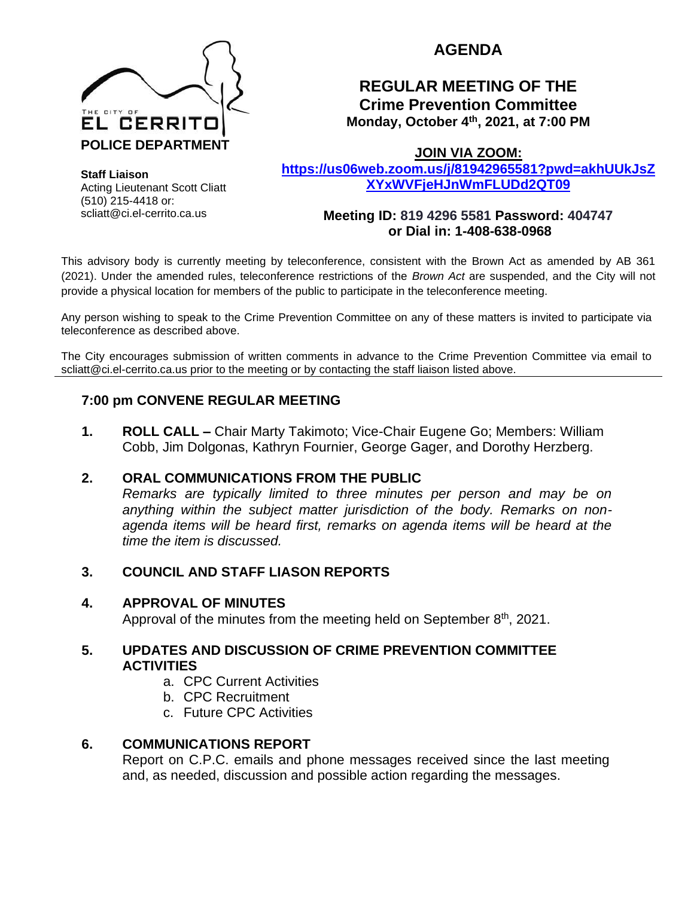

# **AGENDA**

## **REGULAR MEETING OF THE Crime Prevention Committee Monday, October 4th, 2021, at 7:00 PM**

**JOIN VIA ZOOM:** 

**[https://us06web.zoom.us/j/81942965581?pwd=akhUUkJsZ](https://us06web.zoom.us/j/81942965581?pwd=akhUUkJsZXYxWVFjeHJnWmFLUDd2QT09) [XYxWVFjeHJnWmFLUDd2QT09](https://us06web.zoom.us/j/81942965581?pwd=akhUUkJsZXYxWVFjeHJnWmFLUDd2QT09)**

**Meeting ID: 819 4296 5581 Password: 404747 or Dial in: 1-408-638-0968** 

This advisory body is currently meeting by teleconference, consistent with the Brown Act as amended by AB 361 (2021). Under the amended rules, teleconference restrictions of the *Brown Act* are suspended, and the City will not provide a physical location for members of the public to participate in the teleconference meeting.

Any person wishing to speak to the Crime Prevention Committee on any of these matters is invited to participate via teleconference as described above.

The City encourages submission of written comments in advance to the Crime Prevention Committee via email to scliatt@ci.el-cerrito.ca.us prior to the meeting or by contacting the staff liaison listed above.

## **7:00 pm CONVENE REGULAR MEETING**

**1. ROLL CALL –** Chair Marty Takimoto; Vice-Chair Eugene Go; Members: William Cobb, Jim Dolgonas, Kathryn Fournier, George Gager, and Dorothy Herzberg.

## **2. ORAL COMMUNICATIONS FROM THE PUBLIC**

*Remarks are typically limited to three minutes per person and may be on anything within the subject matter jurisdiction of the body. Remarks on nonagenda items will be heard first, remarks on agenda items will be heard at the time the item is discussed.* 

## **3. COUNCIL AND STAFF LIASON REPORTS**

## **4. APPROVAL OF MINUTES**

Approval of the minutes from the meeting held on September  $8<sup>th</sup>$ , 2021.

## **5. UPDATES AND DISCUSSION OF CRIME PREVENTION COMMITTEE ACTIVITIES**

- a. CPC Current Activities
- b. CPC Recruitment
- c. Future CPC Activities

## **6. COMMUNICATIONS REPORT**

Report on C.P.C. emails and phone messages received since the last meeting and, as needed, discussion and possible action regarding the messages.

**Staff Liaison** Acting Lieutenant Scott Cliatt (510) 215-4418 or: scliatt@ci.el-cerrito.ca.us